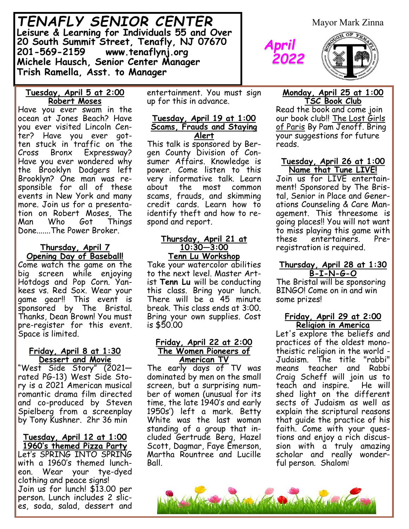*TENAFLY SENIOR CENTER* **Leisure & Learning for Individuals 55 and Over 20 South Summit Street, Tenafly, NJ 07670 201-569-2159 www.tenaflynj.org Michele Hausch, Senior Center Manager Trish Ramella, Asst. to Manager**

Mayor Mark Zinna

### **Tuesday, April 5 at 2:00 Robert Moses**

Have you ever swam in the ocean at Jones Beach? Have you ever visited Lincoln Center? Have you ever gotten stuck in traffic on the Cross Bronx Expressway? Have you ever wondered why the Brooklyn Dodgers left Brooklyn? One man was responsible for all of these events in New York and many more. Join us for a presentation on Robert Moses, The Man Who Got Things Done.......The Power Broker.

## **Thursday, April 7 Opening Day of Baseball!**

Come watch the game on the big screen while enjoying Hotdogs and Pop Corn. Yankees vs. Red Sox. Wear your game gear!! This event is sponsored by The Bristal. Thanks, Dean Brown! You must pre-register for this event. Space is limited.

### **Friday, April 8 at 1:30 Dessert and Movie**

"West Side Story" (2021 rated PG-13) West Side Story is a 2021 American musical romantic drama film directed and co-produced by Steven Spielberg from a screenplay by Tony Kushner. 2hr 36 min

#### **Tuesday, April 12 at 1:00 1960's themed Pizza Party**

Let's SPRING INTO SPRING with a 1960's themed luncheon. Wear your tye-dyed clothing and peace signs! Join us for lunch! \$13.00 per person. Lunch includes 2 slices, soda, salad, dessert and

entertainment. You must sign up for this in advance.

### **Tuesday, April 19 at 1:00 Scams, Frauds and Staying Alert**

This talk is sponsored by Bergen County Division of Consumer Affairs. Knowledge is power. Come listen to this very informative talk. Learn about the most common scams, frauds, and skimming credit cards. Learn how to identify theft and how to respond and report.

#### **Thursday, April 21 at 10:30—3:00 Tenn Lu Workshop**

Take your watercolor abilities to the next level. Master Artist **Tenn Lu** will be conducting this class. Bring your lunch. There will be a 45 minute break. This class ends at 3:00. Bring your own supplies. Cost is \$50.00

### **Friday, April 22 at 2:00 The Women Pioneers of American TV**

The early days of TV was dominated by men on the small screen, but a surprising number of women (unusual for its time, the late 1940's and early 1950s') left a mark. Betty White was the last woman standing of a group that included Gertrude Berg, Hazel Scott, Dagmar, Faye Emerson, Martha Rountree and Lucille Ball.

## **Monday, April 25 at 1:00 TSC Book Club**

*April*

 *2022*

Read the book and come join our book club!! The Lost Girls of Paris By Pam Jenoff. Bring your suggestions for future reads.

### **Tuesday, April 26 at 1:00 Name that Tune LIVE!**

Join us for LIVE entertainment! Sponsored by The Bristal, Senior in Place and Generations Counseling & Care Management. This threesome is going places!! You will not want to miss playing this game with these entertainers. Pre– registration is required.

## **Thursday, April 28 at 1:30 B-I-N-G-O**

The Bristal will be sponsoring BINGO! Come on in and win some prizes!

## **Friday, April 29 at 2:00 Religion in America**

Let's explore the beliefs and practices of the oldest monotheistic religion in the world - Judaism. The title "rabbi" means teacher and Rabbi Craig Scheff will join us to teach and inspire. He will shed light on the different sects of Judaism as well as explain the scriptural reasons that guide the practice of his faith. Come with your questions and enjoy a rich discussion with a truly amazing scholar and really wonderful person. Shalom!

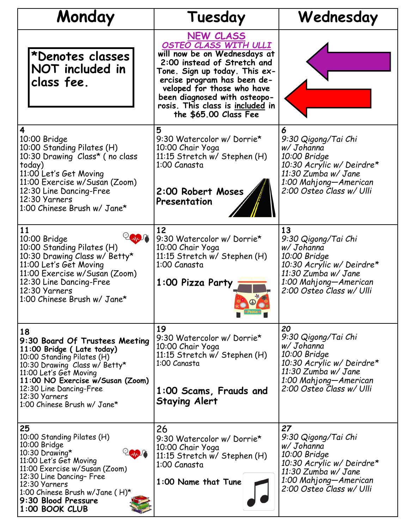| Monday                                                                                                                                                                                                                                                                    | Tuesday                                                                                                                                                                                                                                                                                             | Wednesday                                                                                                                                                        |
|---------------------------------------------------------------------------------------------------------------------------------------------------------------------------------------------------------------------------------------------------------------------------|-----------------------------------------------------------------------------------------------------------------------------------------------------------------------------------------------------------------------------------------------------------------------------------------------------|------------------------------------------------------------------------------------------------------------------------------------------------------------------|
| *Denotes classes<br>NOT included in<br>class fee.                                                                                                                                                                                                                         | <b>NEW CLASS</b><br>OSTEO CLASS WITH ULLI<br>will now be on Wednesdays at<br>2:00 instead of Stretch and<br>Tone. Sign up today. This ex-<br>ercise program has been de-<br>veloped for those who have<br>been diagnosed with osteopo-<br>rosis. This class is included in<br>the \$65.00 Class Fee |                                                                                                                                                                  |
| 4<br>10:00 Bridge<br>10:00 Standing Pilates (H)<br>10:30 Drawing Class* (no class<br>today)<br>11:00 Let's Get Moving<br>11:00 Exercise w/Susan (Zoom)<br>12:30 Line Dancing-Free<br>12:30 Yarners<br>1:00 Chinese Brush w/ Jane*                                         | 5<br>9:30 Watercolor w/ Dorrie*<br>10:00 Chair Yoga<br>11:15 Stretch w/ Stephen (H)<br>1:00 Canasta<br>2:00 Robert Moses<br>Presentation                                                                                                                                                            | 6<br>9:30 Qigong/Tai Chi<br>w/ Johanna<br>10:00 Bridge<br>10:30 Acrylic w/ Deirdre*<br>11:30 Zumba w/ Jane<br>1:00 Mahjong-American<br>2:00 Osteo Class w/ Ulli  |
| 11<br>10:00 Bridge<br>10:00 Standing Pilates (H)<br>10:30 Drawing Class w/ Betty*<br>11:00 Let's Get Moving<br>11:00 Exercise w/Susan (Zoom)<br>12:30 Line Dancing-Free<br>12:30 Yarners<br>1:00 Chinese Brush w/ Jane*                                                   | 12<br>9:30 Watercolor w/ Dorrie*<br>10:00 Chair Yoga<br>11:15 Stretch w/ Stephen (H)<br>1:00 Canasta<br>1:00 Pizza Party                                                                                                                                                                            | 13<br>9:30 Qigong/Tai Chi<br>w/ Johanna<br>10:00 Bridge<br>10:30 Acrylic w/ Deirdre*<br>11:30 Zumba w/ Jane<br>1:00 Mahjong-American<br>2:00 Osteo Class w/ Ulli |
| 18<br>9:30 Board Of Trustees Meeting<br>11:00 Bridge (Late today)<br>10:00 Standing Pilates (H)<br>10:30 Drawing Class w/ Betty*<br>11:00 Let's Get Moving<br>11:00 NO Exercise w/Susan (Zoom)<br>12:30 Line Dancing-Free<br>12:30 Yarners<br>1:00 Chinese Brush w/ Jane* | 19<br>9:30 Watercolor w/Dorrie*<br>10:00 Chair Yoga<br>11:15 Stretch w/ Stephen (H)<br>1:00 Canasta<br>1:00 Scams, Frauds and<br><b>Staying Alert</b>                                                                                                                                               | 20<br>9:30 Qigong/Tai Chi<br>w/ Johanna<br>10:00 Bridge<br>10:30 Acrylic w/ Deirdre*<br>11:30 Zumba w/ Jane<br>1:00 Mahjong-American<br>2:00 Osteo Class w/ Ulli |
| 25<br>10:00 Standing Pilates (H)<br>10:00 Bridge<br>10:30 Drawing*<br>11:00 Let's Get Moving<br>11:00 Exercise w/Susan (Zoom)<br>12:30 Line Dancing- Free<br>12:30 Yarners<br>1:00 Chinese Brush w/Jane (H)*<br>9:30 Blood Pressure<br>1:00 BOOK CLUB                     | 26<br>9:30 Watercolor w/ Dorrie*<br>10:00 Chair Yoga<br>11:15 Stretch w/ Stephen (H)<br>1:00 Canasta<br>1:00 Name that Tune                                                                                                                                                                         | 27<br>9:30 Qigong/Tai Chi<br>w/ Johanna<br>10:00 Bridge<br>10:30 Acrylic w/ Deirdre*<br>11:30 Zumba w/ Jane<br>1:00 Mahjong-American<br>2:00 Osteo Class w/ Ulli |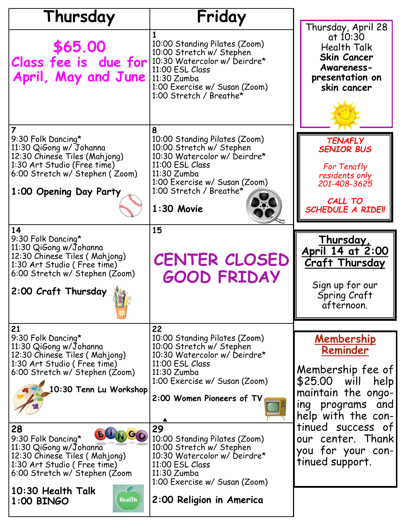| Thursday                                                                                                                                                                                                                                                                                                                                    | Friday                                                                                                                                                                                                                                                                                                                                                                |                                                                                                                                                                                                                                 |
|---------------------------------------------------------------------------------------------------------------------------------------------------------------------------------------------------------------------------------------------------------------------------------------------------------------------------------------------|-----------------------------------------------------------------------------------------------------------------------------------------------------------------------------------------------------------------------------------------------------------------------------------------------------------------------------------------------------------------------|---------------------------------------------------------------------------------------------------------------------------------------------------------------------------------------------------------------------------------|
| \$65.00<br>Class fee is due for<br>April, May and June                                                                                                                                                                                                                                                                                      | 10:00 Standing Pilates (Zoom)<br>10:00 Stretch w/ Stephen<br>10:30 Watercolor w/ Deirdre*<br>11:00 ESL Class<br>11:30 Zumba<br>1:00 Exercise w/ Susan (Zoom)<br>1:00 Stretch / Breathe*                                                                                                                                                                               | Thursday, April 28<br>at 10:30<br><b>Health Talk</b><br><b>Skin Cancer</b><br>Awareness-<br>presentation on<br>skin cancer                                                                                                      |
| $\overline{7}$<br>9:30 Folk Dancing*<br>11:30 QiGong w/ Johanna<br>12:30 Chinese Tiles (Mahjong)<br>1:30 Art Studio (Free time)<br>6:00 Stretch w/ Stephen (Zoom)<br>1:00 Opening Day Party<br>14<br>9:30 Folk Dancing*                                                                                                                     | 8<br>10:00 Standing Pilates (Zoom)<br>10:00 Stretch w/ Stephen<br>10:30 Watercolor w/ Deirdre*<br>11:00 ESL Class<br>11:30 Zumba<br>1:00 Exercise w/ Susan (Zoom)<br>1:00 Stretch / Breathe*<br>$1:30$ Movie<br>15                                                                                                                                                    | <b>TENAFLY</b><br><b>SENIOR BUS</b><br>For Tenafly<br>residents only<br>201-408-3625<br>CALL TO<br><b>SCHEDULE A RIDE!!</b><br>Thursday,                                                                                        |
| 11:30 QiGong w/Johanna<br>12:30 Chinese Tiles (Mahjong)<br>1:30 Art Studio (Free time)<br>6:00 Stretch w/ Stephen (Zoom)<br>2:00 Craft Thursday                                                                                                                                                                                             | <b>CENTER CLOSED</b><br><b>GOOD FRIDAY</b>                                                                                                                                                                                                                                                                                                                            | April 14 at 2:00<br><b>Craft Thursday</b><br>Sign up for our<br>Spring Craft<br>afternoon.                                                                                                                                      |
| 21<br>9:30 Folk Dancing*<br>11:30 QiGong w/Johanna<br>12:30 Chinese Tiles (Mahjong)<br>1:30 Art Studio (Free time)<br>6:00 Stretch w/ Stephen (Zoom)<br>10:30 Tenn Lu Workshop<br>28<br>GO<br>9:30 Folk Dancing*<br>11:30 QiGong w/Johanna<br>12:30 Chinese Tiles (Mahjong)<br>1:30 Art Studio (Free time)<br>6:00 Stretch w/ Stephen (Zoom | 22<br>10:00 Standing Pilates (Zoom)<br>10:00 Stretch w/ Stephen<br>10:30 Watercolor w/ Deirdre*<br>11:00 ESL Class<br>11:30 Zumba<br>1:00 Exercise w/ Susan (Zoom)<br>2:00 Women Pioneers of TV<br>29<br>10:00 Standing Pilates (Zoom)<br>10:00 Stretch w/ Stephen<br>10:30 Watercolor w/ Deirdre*<br>11:00 ESL Class<br>11:30 Zumba<br>1:00 Exercise w/ Susan (Zoom) | <u>Membership</u><br>Reminder<br>Membership fee of<br>\$25.00 will<br>help<br>maintain the ongo-<br>ing programs<br>and<br>help with the con-<br>tinued success of<br>our center. Thank<br>you for your con-<br>tinued support. |
| 10:30 Health Talk<br>Health<br>1:00 BINGO                                                                                                                                                                                                                                                                                                   | 2:00 Religion in America                                                                                                                                                                                                                                                                                                                                              |                                                                                                                                                                                                                                 |